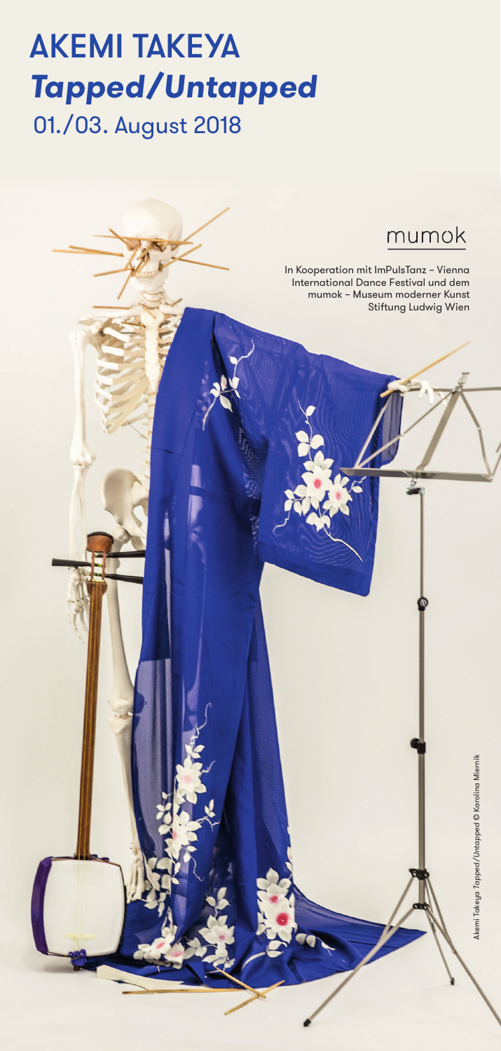## 01./03. August 2018 AKEMI TAKEYA **Tapped/Untapped**